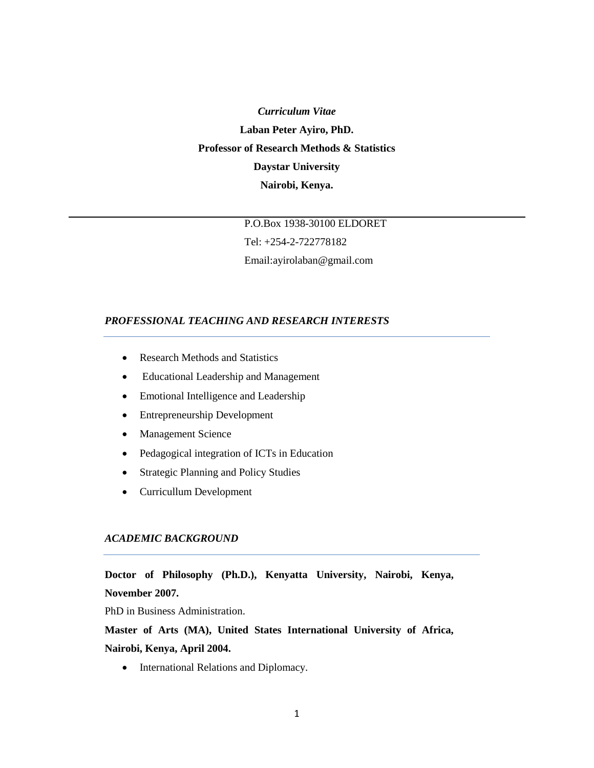*Curriculum Vitae* **Laban Peter Ayiro, PhD. Professor of Research Methods & Statistics Daystar University Nairobi, Kenya.**

> P.O.Box 1938-30100 ELDORET Tel: +254-2-722778182 Email:ayirolaban@gmail.com

### *PROFESSIONAL TEACHING AND RESEARCH INTERESTS*

- Research Methods and Statistics
- Educational Leadership and Management
- Emotional Intelligence and Leadership
- Entrepreneurship Development
- Management Science
- Pedagogical integration of ICTs in Education
- Strategic Planning and Policy Studies
- Curricullum Development

## *ACADEMIC BACKGROUND*

**Doctor of Philosophy (Ph.D.), Kenyatta University, Nairobi, Kenya, November 2007.**

PhD in Business Administration.

**Master of Arts (MA), United States International University of Africa, Nairobi, Kenya, April 2004.**

• International Relations and Diplomacy.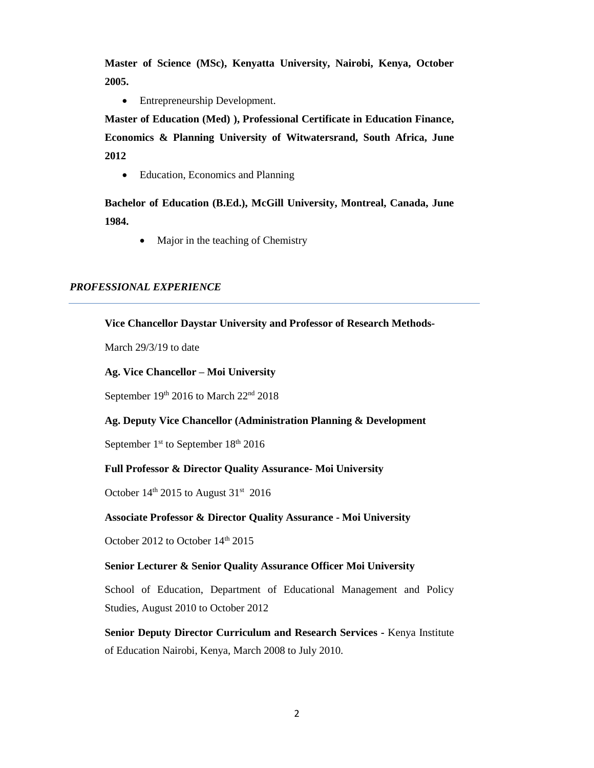**Master of Science (MSc), Kenyatta University, Nairobi, Kenya, October 2005.**

• Entrepreneurship Development.

**Master of Education (Med) ), Professional Certificate in Education Finance, Economics & Planning University of Witwatersrand, South Africa, June 2012**

• Education, Economics and Planning

**Bachelor of Education (B.Ed.), McGill University, Montreal, Canada, June 1984.**

• Major in the teaching of Chemistry

### *PROFESSIONAL EXPERIENCE*

### **Vice Chancellor Daystar University and Professor of Research Methods-**

March 29/3/19 to date

### **Ag. Vice Chancellor – Moi University**

September  $19<sup>th</sup>$  2016 to March  $22<sup>nd</sup>$  2018

### **Ag. Deputy Vice Chancellor (Administration Planning & Development**

September  $1<sup>st</sup>$  to September  $18<sup>th</sup>$  2016

### **Full Professor & Director Quality Assurance- Moi University**

October  $14<sup>th</sup>$  2015 to August 31<sup>st</sup> 2016

### **Associate Professor & Director Quality Assurance - Moi University**

October 2012 to October 14<sup>th</sup> 2015

#### **Senior Lecturer & Senior Quality Assurance Officer Moi University**

School of Education, Department of Educational Management and Policy Studies, August 2010 to October 2012

**Senior Deputy Director Curriculum and Research Services -** Kenya Institute of Education Nairobi, Kenya, March 2008 to July 2010.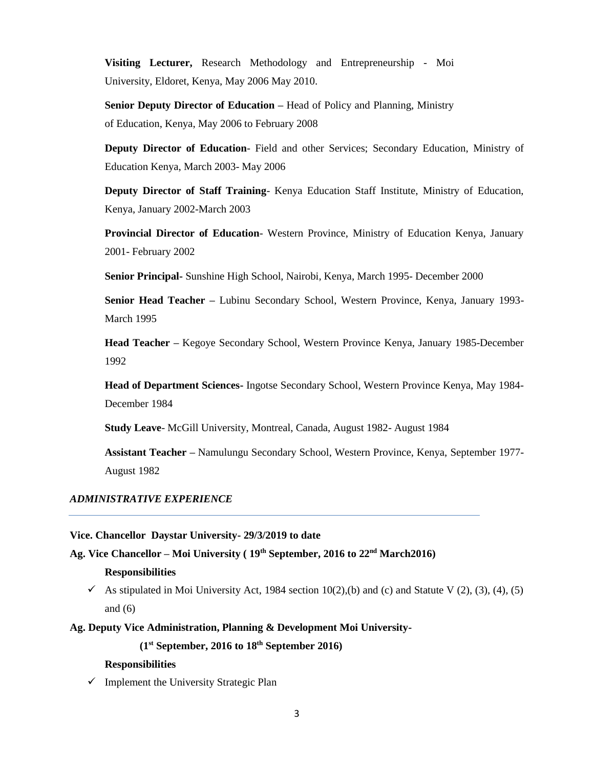**Visiting Lecturer,** Research Methodology and Entrepreneurship - Moi University, Eldoret, Kenya, May 2006 May 2010.

**Senior Deputy Director of Education –** Head of Policy and Planning, Ministry of Education, Kenya, May 2006 to February 2008

**Deputy Director of Education**- Field and other Services; Secondary Education, Ministry of Education Kenya, March 2003- May 2006

**Deputy Director of Staff Training**- Kenya Education Staff Institute, Ministry of Education, Kenya, January 2002-March 2003

**Provincial Director of Education**- Western Province, Ministry of Education Kenya, January 2001- February 2002

**Senior Principal-** Sunshine High School, Nairobi, Kenya, March 1995- December 2000

**Senior Head Teacher –** Lubinu Secondary School, Western Province, Kenya, January 1993- March 1995

**Head Teacher –** Kegoye Secondary School, Western Province Kenya, January 1985-December 1992

**Head of Department Sciences-** Ingotse Secondary School, Western Province Kenya, May 1984- December 1984

**Study Leave**- McGill University, Montreal, Canada, August 1982- August 1984

**Assistant Teacher –** Namulungu Secondary School, Western Province, Kenya, September 1977- August 1982

### *ADMINISTRATIVE EXPERIENCE*

**Vice. Chancellor Daystar University- 29/3/2019 to date**

**Ag. Vice Chancellor – Moi University ( 19th September, 2016 to 22nd March2016)**

#### **Responsibilities**

As stipulated in Moi University Act, 1984 section  $10(2)$ , (b) and (c) and Statute V (2), (3), (4), (5) and (6)

**Ag. Deputy Vice Administration, Planning & Development Moi University-**

**(1st September, 2016 to 18th September 2016)**

#### **Responsibilities**

 $\checkmark$  Implement the University Strategic Plan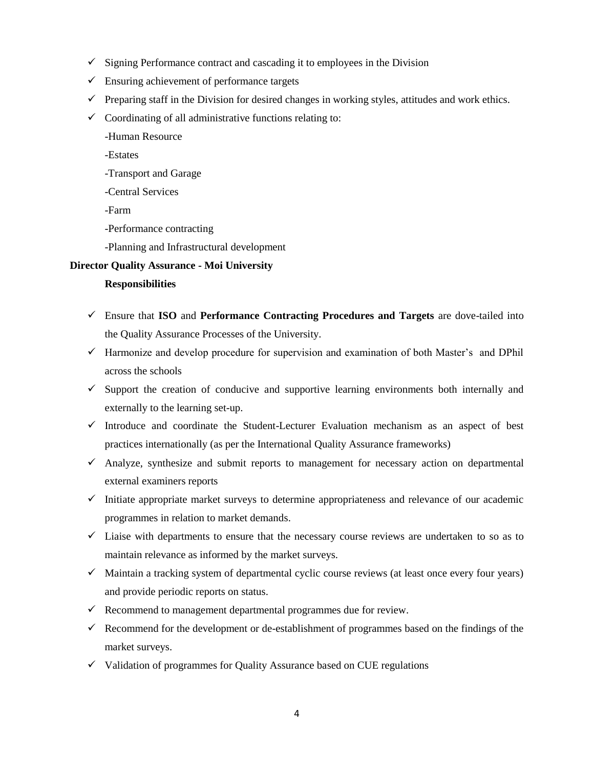- $\checkmark$  Signing Performance contract and cascading it to employees in the Division
- $\checkmark$  Ensuring achievement of performance targets
- $\checkmark$  Preparing staff in the Division for desired changes in working styles, attitudes and work ethics.
- $\checkmark$  Coordinating of all administrative functions relating to:
	- -Human Resource
	- -Estates
	- -Transport and Garage
	- -Central Services
	- -Farm
	- -Performance contracting
	- -Planning and Infrastructural development

### **Director Quality Assurance - Moi University**

#### **Responsibilities**

- Ensure that **ISO** and **Performance Contracting Procedures and Targets** are dove-tailed into the Quality Assurance Processes of the University.
- $\checkmark$  Harmonize and develop procedure for supervision and examination of both Master's and DPhil across the schools
- $\checkmark$  Support the creation of conducive and supportive learning environments both internally and externally to the learning set-up.
- $\checkmark$  Introduce and coordinate the Student-Lecturer Evaluation mechanism as an aspect of best practices internationally (as per the International Quality Assurance frameworks)
- $\checkmark$  Analyze, synthesize and submit reports to management for necessary action on departmental external examiners reports
- $\checkmark$  Initiate appropriate market surveys to determine appropriateness and relevance of our academic programmes in relation to market demands.
- $\checkmark$  Liaise with departments to ensure that the necessary course reviews are undertaken to so as to maintain relevance as informed by the market surveys.
- $\checkmark$  Maintain a tracking system of departmental cyclic course reviews (at least once every four years) and provide periodic reports on status.
- $\checkmark$  Recommend to management departmental programmes due for review.
- $\checkmark$  Recommend for the development or de-establishment of programmes based on the findings of the market surveys.
- $\checkmark$  Validation of programmes for Quality Assurance based on CUE regulations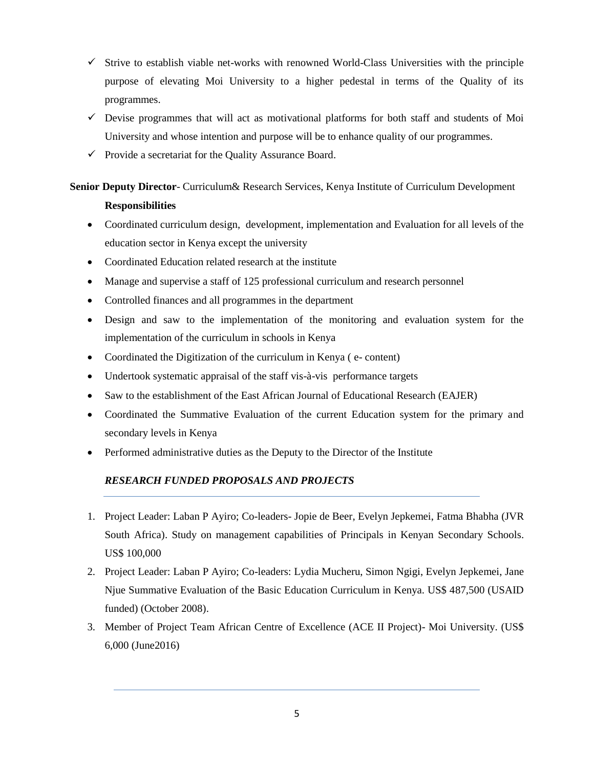- $\checkmark$  Strive to establish viable net-works with renowned World-Class Universities with the principle purpose of elevating Moi University to a higher pedestal in terms of the Quality of its programmes.
- $\checkmark$  Devise programmes that will act as motivational platforms for both staff and students of Moi University and whose intention and purpose will be to enhance quality of our programmes.
- $\checkmark$  Provide a secretariat for the Quality Assurance Board.

# **Senior Deputy Director**- Curriculum& Research Services, Kenya Institute of Curriculum Development **Responsibilities**

- Coordinated curriculum design, development, implementation and Evaluation for all levels of the education sector in Kenya except the university
- Coordinated Education related research at the institute
- Manage and supervise a staff of 125 professional curriculum and research personnel
- Controlled finances and all programmes in the department
- Design and saw to the implementation of the monitoring and evaluation system for the implementation of the curriculum in schools in Kenya
- Coordinated the Digitization of the curriculum in Kenya ( e- content)
- Undertook systematic appraisal of the staff vis-à-vis performance targets
- Saw to the establishment of the East African Journal of Educational Research (EAJER)
- Coordinated the Summative Evaluation of the current Education system for the primary and secondary levels in Kenya
- Performed administrative duties as the Deputy to the Director of the Institute

## *RESEARCH FUNDED PROPOSALS AND PROJECTS*

- 1. Project Leader: Laban P Ayiro; Co-leaders- Jopie de Beer, Evelyn Jepkemei, Fatma Bhabha (JVR South Africa). Study on management capabilities of Principals in Kenyan Secondary Schools. US\$ 100,000
- 2. Project Leader: Laban P Ayiro; Co-leaders: Lydia Mucheru, Simon Ngigi, Evelyn Jepkemei, Jane Njue Summative Evaluation of the Basic Education Curriculum in Kenya. US\$ 487,500 (USAID funded) (October 2008).
- 3. Member of Project Team African Centre of Excellence (ACE II Project)- Moi University. (US\$ 6,000 (June2016)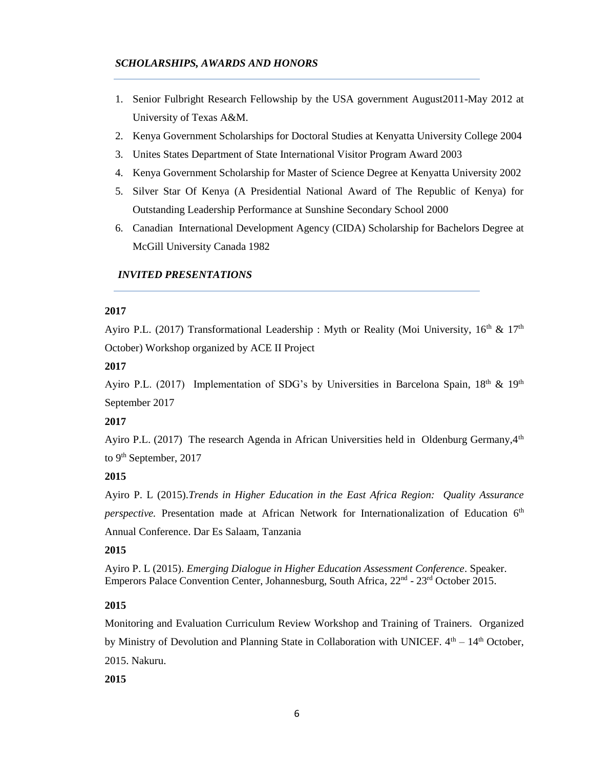### *SCHOLARSHIPS, AWARDS AND HONORS*

- 1. Senior Fulbright Research Fellowship by the USA government August2011-May 2012 at University of Texas A&M.
- 2. Kenya Government Scholarships for Doctoral Studies at Kenyatta University College 2004
- 3. Unites States Department of State International Visitor Program Award 2003
- 4. Kenya Government Scholarship for Master of Science Degree at Kenyatta University 2002
- 5. Silver Star Of Kenya (A Presidential National Award of The Republic of Kenya) for Outstanding Leadership Performance at Sunshine Secondary School 2000
- 6. Canadian International Development Agency (CIDA) Scholarship for Bachelors Degree at McGill University Canada 1982

## *INVITED PRESENTATIONS*

### **2017**

Ayiro P.L. (2017) Transformational Leadership : Myth or Reality (Moi University,  $16<sup>th</sup>$  &  $17<sup>th</sup>$ October) Workshop organized by ACE II Project

### **2017**

Ayiro P.L. (2017) Implementation of SDG's by Universities in Barcelona Spain,  $18<sup>th</sup> \& 19<sup>th</sup>$ September 2017

## **2017**

Ayiro P.L. (2017) The research Agenda in African Universities held in Oldenburg Germany,  $4<sup>th</sup>$ to 9<sup>th</sup> September, 2017

## **2015**

Ayiro P. L (2015).*Trends in Higher Education in the East Africa Region: Quality Assurance*  perspective. Presentation made at African Network for Internationalization of Education 6<sup>th</sup> Annual Conference. Dar Es Salaam, Tanzania

## **2015**

Ayiro P. L (2015). *Emerging Dialogue in Higher Education Assessment Conference*. Speaker. Emperors Palace Convention Center, Johannesburg, South Africa, 22<sup>nd</sup> - 23<sup>rd</sup> October 2015.

## **2015**

Monitoring and Evaluation Curriculum Review Workshop and Training of Trainers. Organized by Ministry of Devolution and Planning State in Collaboration with UNICEF.  $4<sup>th</sup> - 14<sup>th</sup>$  October, 2015. Nakuru.

**2015**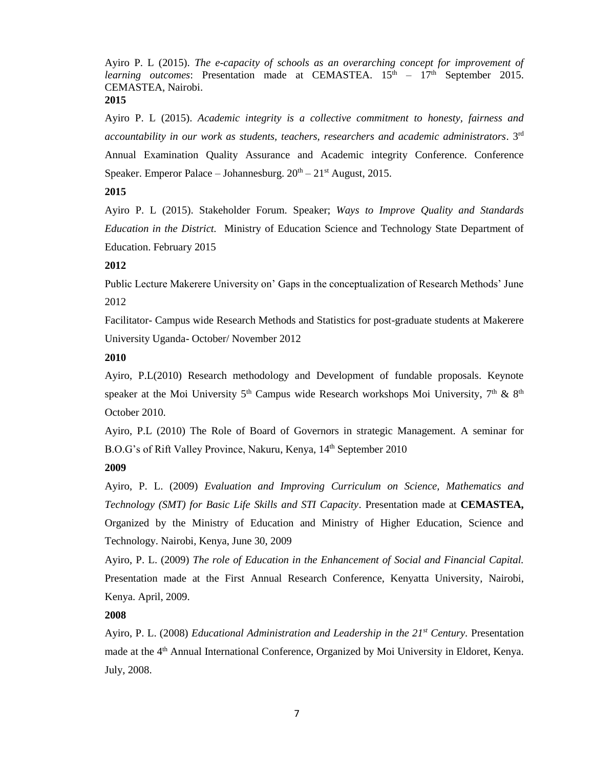Ayiro P. L (2015). *The e-capacity of schools as an overarching concept for improvement of learning outcomes*: Presentation made at CEMASTEA. 15<sup>th</sup> – 17<sup>th</sup> September 2015. CEMASTEA, Nairobi. **2015**

Ayiro P. L (2015). *Academic integrity is a collective commitment to honesty, fairness and accountability in our work as students, teachers, researchers and academic administrators*. 3rd Annual Examination Quality Assurance and Academic integrity Conference. Conference Speaker. Emperor Palace – Johannesburg.  $20^{th} - 21^{st}$  August, 2015.

### **2015**

Ayiro P. L (2015). Stakeholder Forum. Speaker; *Ways to Improve Quality and Standards Education in the District.* Ministry of Education Science and Technology State Department of Education. February 2015

#### **2012**

Public Lecture Makerere University on' Gaps in the conceptualization of Research Methods' June 2012

Facilitator- Campus wide Research Methods and Statistics for post-graduate students at Makerere University Uganda- October/ November 2012

### **2010**

Ayiro, P.L(2010) Research methodology and Development of fundable proposals. Keynote speaker at the Moi University 5<sup>th</sup> Campus wide Research workshops Moi University, 7<sup>th</sup> & 8<sup>th</sup> October 2010.

Ayiro, P.L (2010) The Role of Board of Governors in strategic Management. A seminar for B.O.G's of Rift Valley Province, Nakuru, Kenya, 14<sup>th</sup> September 2010

### **2009**

Ayiro, P. L. (2009) *Evaluation and Improving Curriculum on Science, Mathematics and Technology (SMT) for Basic Life Skills and STI Capacity*. Presentation made at **CEMASTEA,** Organized by the Ministry of Education and Ministry of Higher Education, Science and Technology. Nairobi, Kenya, June 30, 2009

Ayiro, P. L. (2009) *The role of Education in the Enhancement of Social and Financial Capital.*  Presentation made at the First Annual Research Conference, Kenyatta University, Nairobi, Kenya. April, 2009.

## **2008**

Ayiro, P. L. (2008) *Educational Administration and Leadership in the 21st Century.* Presentation made at the 4<sup>th</sup> Annual International Conference, Organized by Moi University in Eldoret, Kenya. July, 2008.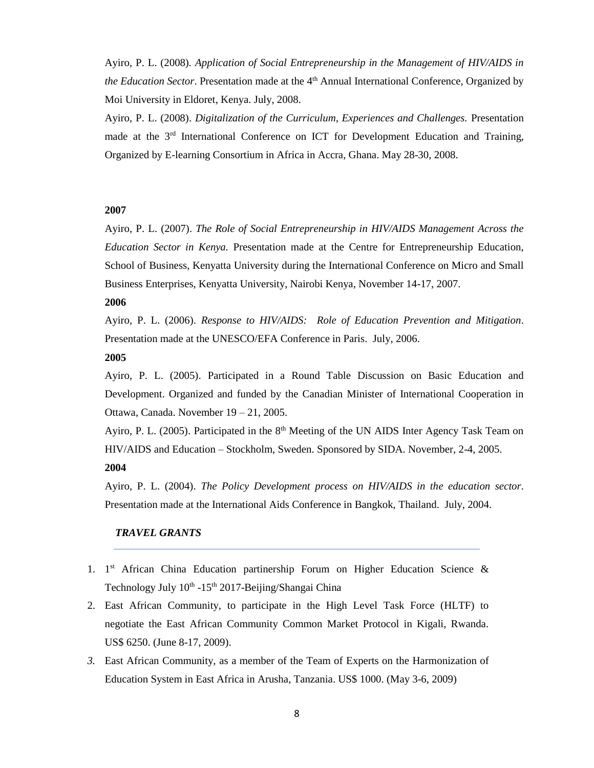Ayiro, P. L. (2008)*. Application of Social Entrepreneurship in the Management of HIV/AIDS in*  the Education Sector. Presentation made at the 4<sup>th</sup> Annual International Conference, Organized by Moi University in Eldoret, Kenya. July, 2008.

Ayiro, P. L. (2008). *Digitalization of the Curriculum, Experiences and Challenges.* Presentation made at the 3<sup>rd</sup> International Conference on ICT for Development Education and Training, Organized by E-learning Consortium in Africa in Accra, Ghana. May 28-30, 2008.

### **2007**

Ayiro, P. L. (2007). *The Role of Social Entrepreneurship in HIV/AIDS Management Across the Education Sector in Kenya.* Presentation made at the Centre for Entrepreneurship Education, School of Business, Kenyatta University during the International Conference on Micro and Small Business Enterprises, Kenyatta University, Nairobi Kenya, November 14-17, 2007.

#### **2006**

Ayiro, P. L. (2006). *Response to HIV/AIDS: Role of Education Prevention and Mitigation*. Presentation made at the UNESCO/EFA Conference in Paris. July, 2006.

#### **2005**

Ayiro, P. L. (2005). Participated in a Round Table Discussion on Basic Education and Development. Organized and funded by the Canadian Minister of International Cooperation in Ottawa, Canada. November 19 – 21, 2005.

Ayiro, P. L. (2005). Participated in the  $8<sup>th</sup>$  Meeting of the UN AIDS Inter Agency Task Team on HIV/AIDS and Education – Stockholm, Sweden. Sponsored by SIDA. November, 2-4, 2005. **2004**

Ayiro, P. L. (2004). *The Policy Development process on HIV/AIDS in the education sector*. Presentation made at the International Aids Conference in Bangkok, Thailand. July, 2004.

## *TRAVEL GRANTS*

- 1. 1<sup>st</sup> African China Education partinership Forum on Higher Education Science & Technology July 10<sup>th</sup> -15<sup>th</sup> 2017-Beijing/Shangai China
- 2. East African Community, to participate in the High Level Task Force (HLTF) to negotiate the East African Community Common Market Protocol in Kigali, Rwanda. US\$ 6250. (June 8-17, 2009).
- *3.* East African Community, as a member of the Team of Experts on the Harmonization of Education System in East Africa in Arusha, Tanzania. US\$ 1000. (May 3-6, 2009)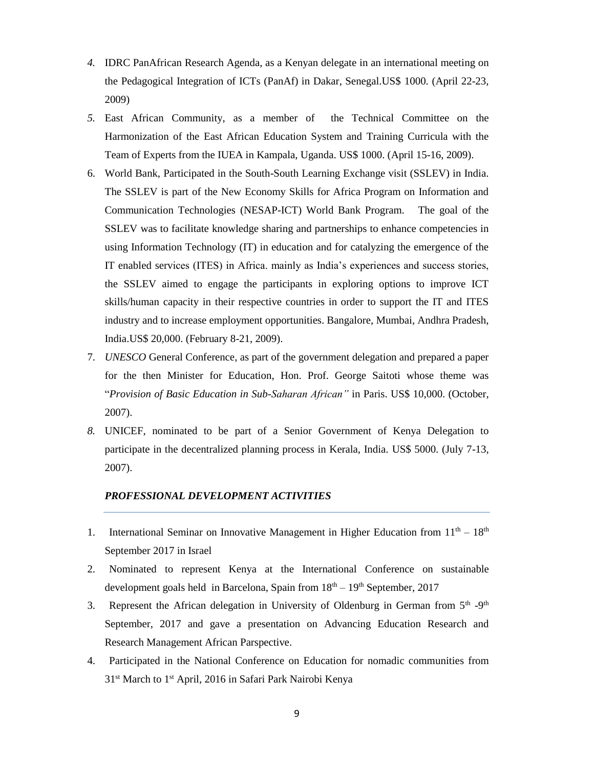- *4.* IDRC PanAfrican Research Agenda, as a Kenyan delegate in an international meeting on the Pedagogical Integration of ICTs (PanAf) in Dakar, Senegal.US\$ 1000. (April 22-23, 2009)
- *5.* East African Community, as a member of the Technical Committee on the Harmonization of the East African Education System and Training Curricula with the Team of Experts from the IUEA in Kampala, Uganda. US\$ 1000. (April 15-16, 2009).
- 6. World Bank, Participated in the South-South Learning Exchange visit (SSLEV) in India. The SSLEV is part of the New Economy Skills for Africa Program on Information and Communication Technologies (NESAP-ICT) World Bank Program. The goal of the SSLEV was to facilitate knowledge sharing and partnerships to enhance competencies in using Information Technology (IT) in education and for catalyzing the emergence of the IT enabled services (ITES) in Africa. mainly as India's experiences and success stories, the SSLEV aimed to engage the participants in exploring options to improve ICT skills/human capacity in their respective countries in order to support the IT and ITES industry and to increase employment opportunities. Bangalore, Mumbai, Andhra Pradesh, India.US\$ 20,000. (February 8-21, 2009).
- 7. *UNESCO* General Conference, as part of the government delegation and prepared a paper for the then Minister for Education, Hon. Prof. George Saitoti whose theme was "*Provision of Basic Education in Sub-Saharan African"* in Paris. US\$ 10,000. (October, 2007).
- *8.* UNICEF, nominated to be part of a Senior Government of Kenya Delegation to participate in the decentralized planning process in Kerala, India. US\$ 5000. (July 7-13, 2007).

## *PROFESSIONAL DEVELOPMENT ACTIVITIES*

- 1. International Seminar on Innovative Management in Higher Education from  $11<sup>th</sup> 18<sup>th</sup>$ September 2017 in Israel
- 2. Nominated to represent Kenya at the International Conference on sustainable development goals held in Barcelona, Spain from  $18<sup>th</sup> - 19<sup>th</sup>$  September, 2017
- 3. Represent the African delegation in University of Oldenburg in German from 5<sup>th</sup> -9<sup>th</sup> September, 2017 and gave a presentation on Advancing Education Research and Research Management African Parspective.
- 4. Participated in the National Conference on Education for nomadic communities from 31<sup>st</sup> March to 1<sup>st</sup> April, 2016 in Safari Park Nairobi Kenya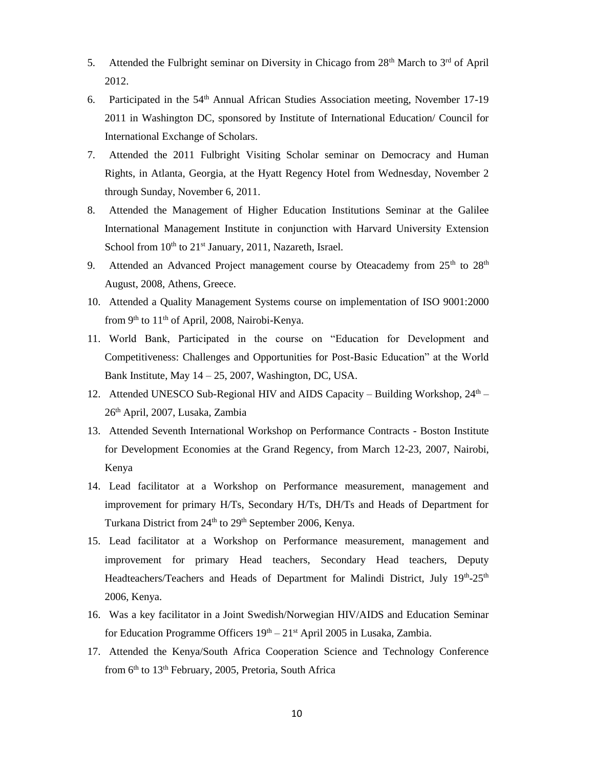- 5. Attended the Fulbright seminar on Diversity in Chicago from  $28<sup>th</sup>$  March to  $3<sup>rd</sup>$  of April 2012.
- 6. Participated in the  $54<sup>th</sup>$  Annual African Studies Association meeting, November 17-19 2011 in Washington DC, sponsored by Institute of International Education/ Council for International Exchange of Scholars.
- 7. Attended the 2011 Fulbright Visiting Scholar seminar on Democracy and Human Rights, in Atlanta, Georgia, at the Hyatt Regency Hotel from Wednesday, November 2 through Sunday, November 6, 2011.
- 8. Attended the Management of Higher Education Institutions Seminar at the Galilee International Management Institute in conjunction with Harvard University Extension School from  $10^{th}$  to  $21^{st}$  January, 2011, Nazareth, Israel.
- 9. Attended an Advanced Project management course by Oteacademy from 25<sup>th</sup> to 28<sup>th</sup> August, 2008, Athens, Greece.
- 10. Attended a Quality Management Systems course on implementation of ISO 9001:2000 from  $9<sup>th</sup>$  to  $11<sup>th</sup>$  of April, 2008, Nairobi-Kenya.
- 11. World Bank, Participated in the course on "Education for Development and Competitiveness: Challenges and Opportunities for Post-Basic Education" at the World Bank Institute, May  $14 - 25$ , 2007, Washington, DC, USA.
- 12. Attended UNESCO Sub-Regional HIV and AIDS Capacity Building Workshop,  $24<sup>th</sup>$  26th April, 2007, Lusaka, Zambia
- 13. Attended Seventh International Workshop on Performance Contracts Boston Institute for Development Economies at the Grand Regency, from March 12-23, 2007, Nairobi, Kenya
- 14. Lead facilitator at a Workshop on Performance measurement, management and improvement for primary H/Ts, Secondary H/Ts, DH/Ts and Heads of Department for Turkana District from 24<sup>th</sup> to 29<sup>th</sup> September 2006, Kenya.
- 15. Lead facilitator at a Workshop on Performance measurement, management and improvement for primary Head teachers, Secondary Head teachers, Deputy Headteachers/Teachers and Heads of Department for Malindi District, July 19<sup>th</sup>-25<sup>th</sup> 2006, Kenya.
- 16. Was a key facilitator in a Joint Swedish/Norwegian HIV/AIDS and Education Seminar for Education Programme Officers  $19<sup>th</sup> - 21<sup>st</sup>$  April 2005 in Lusaka, Zambia.
- 17. Attended the Kenya/South Africa Cooperation Science and Technology Conference from  $6<sup>th</sup>$  to  $13<sup>th</sup>$  February, 2005, Pretoria, South Africa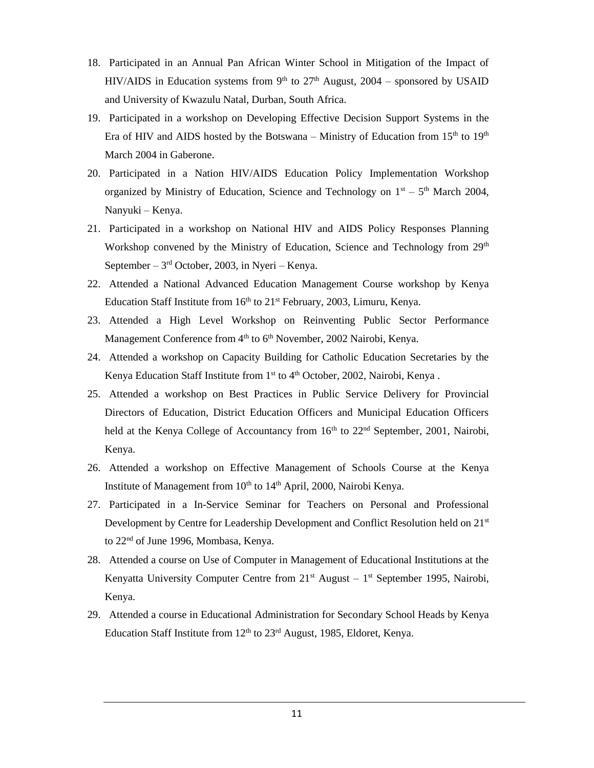- 18. Participated in an Annual Pan African Winter School in Mitigation of the Impact of HIV/AIDS in Education systems from 9<sup>th</sup> to 27<sup>th</sup> August, 2004 – sponsored by USAID and University of Kwazulu Natal, Durban, South Africa.
- 19. Participated in a workshop on Developing Effective Decision Support Systems in the Era of HIV and AIDS hosted by the Botswana – Ministry of Education from  $15<sup>th</sup>$  to  $19<sup>th</sup>$ March 2004 in Gaberone.
- 20. Participated in a Nation HIV/AIDS Education Policy Implementation Workshop organized by Ministry of Education, Science and Technology on  $1<sup>st</sup> - 5<sup>th</sup>$  March 2004, Nanyuki – Kenya.
- 21. Participated in a workshop on National HIV and AIDS Policy Responses Planning Workshop convened by the Ministry of Education, Science and Technology from 29<sup>th</sup> September  $-3<sup>rd</sup>$  October, 2003, in Nyeri  $-$  Kenya.
- 22. Attended a National Advanced Education Management Course workshop by Kenya Education Staff Institute from  $16<sup>th</sup>$  to  $21<sup>st</sup>$  February, 2003, Limuru, Kenya.
- 23. Attended a High Level Workshop on Reinventing Public Sector Performance Management Conference from 4<sup>th</sup> to 6<sup>th</sup> November, 2002 Nairobi, Kenya.
- 24. Attended a workshop on Capacity Building for Catholic Education Secretaries by the Kenya Education Staff Institute from  $1<sup>st</sup>$  to  $4<sup>th</sup>$  October, 2002, Nairobi, Kenya.
- 25. Attended a workshop on Best Practices in Public Service Delivery for Provincial Directors of Education, District Education Officers and Municipal Education Officers held at the Kenya College of Accountancy from 16<sup>th</sup> to 22<sup>nd</sup> September, 2001, Nairobi, Kenya.
- 26. Attended a workshop on Effective Management of Schools Course at the Kenya Institute of Management from 10<sup>th</sup> to 14<sup>th</sup> April, 2000, Nairobi Kenya.
- 27. Participated in a In-Service Seminar for Teachers on Personal and Professional Development by Centre for Leadership Development and Conflict Resolution held on 21<sup>st</sup> to 22<sup>nd</sup> of June 1996, Mombasa, Kenya.
- 28. Attended a course on Use of Computer in Management of Educational Institutions at the Kenyatta University Computer Centre from  $21<sup>st</sup>$  August –  $1<sup>st</sup>$  September 1995, Nairobi, Kenya.
- 29. Attended a course in Educational Administration for Secondary School Heads by Kenya Education Staff Institute from  $12<sup>th</sup>$  to  $23<sup>rd</sup>$  August, 1985, Eldoret, Kenya.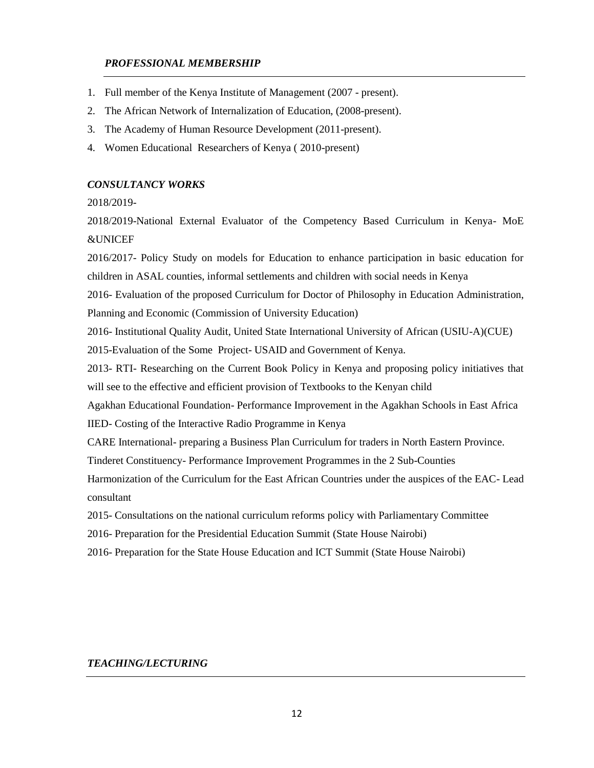## *PROFESSIONAL MEMBERSHIP*

- 1. Full member of the Kenya Institute of Management (2007 present).
- 2. The African Network of Internalization of Education, (2008-present).
- 3. The Academy of Human Resource Development (2011-present).
- 4. Women Educational Researchers of Kenya ( 2010-present)

### *CONSULTANCY WORKS*

2018/2019-

2018/2019-National External Evaluator of the Competency Based Curriculum in Kenya- MoE &UNICEF

2016/2017- Policy Study on models for Education to enhance participation in basic education for children in ASAL counties, informal settlements and children with social needs in Kenya

2016- Evaluation of the proposed Curriculum for Doctor of Philosophy in Education Administration, Planning and Economic (Commission of University Education)

2016- Institutional Quality Audit, United State International University of African (USIU-A)(CUE)

2015-Evaluation of the Some Project- USAID and Government of Kenya.

2013- RTI- Researching on the Current Book Policy in Kenya and proposing policy initiatives that will see to the effective and efficient provision of Textbooks to the Kenyan child

Agakhan Educational Foundation- Performance Improvement in the Agakhan Schools in East Africa IIED- Costing of the Interactive Radio Programme in Kenya

CARE International- preparing a Business Plan Curriculum for traders in North Eastern Province.

Tinderet Constituency- Performance Improvement Programmes in the 2 Sub-Counties

Harmonization of the Curriculum for the East African Countries under the auspices of the EAC- Lead consultant

2015- Consultations on the national curriculum reforms policy with Parliamentary Committee

2016- Preparation for the Presidential Education Summit (State House Nairobi)

2016- Preparation for the State House Education and ICT Summit (State House Nairobi)

## *TEACHING/LECTURING*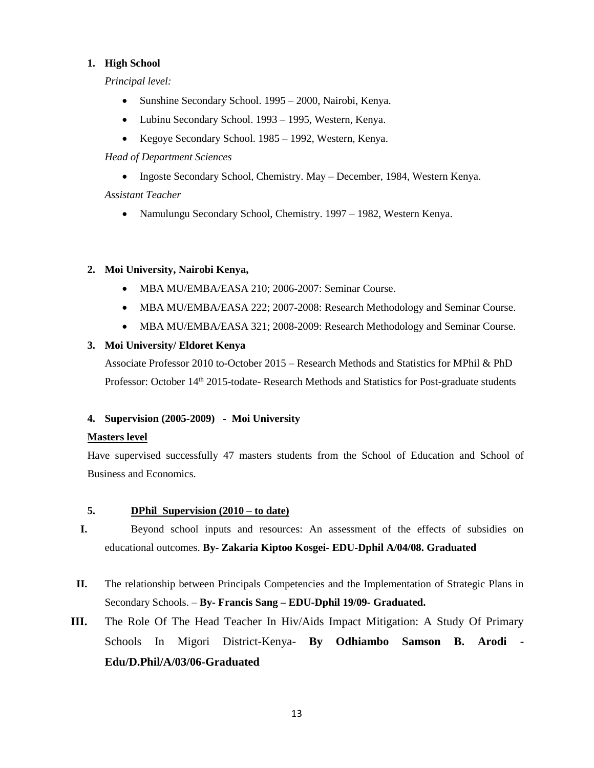## **1. High School**

*Principal level:*

- Sunshine Secondary School. 1995 2000, Nairobi, Kenya.
- Lubinu Secondary School. 1993 1995, Western, Kenya.
- Kegoye Secondary School. 1985 1992, Western, Kenya.

*Head of Department Sciences* 

• Ingoste Secondary School, Chemistry. May – December, 1984, Western Kenya.

*Assistant Teacher*

• Namulungu Secondary School, Chemistry. 1997 – 1982, Western Kenya.

## **2. Moi University, Nairobi Kenya,**

- MBA MU/EMBA/EASA 210; 2006-2007: Seminar Course.
- MBA MU/EMBA/EASA 222; 2007-2008: Research Methodology and Seminar Course.
- MBA MU/EMBA/EASA 321; 2008-2009: Research Methodology and Seminar Course.

## **3. Moi University/ Eldoret Kenya**

Associate Professor 2010 to-October 2015 – Research Methods and Statistics for MPhil & PhD Professor: October 14<sup>th</sup> 2015-todate- Research Methods and Statistics for Post-graduate students

## **4. Supervision (2005-2009) - Moi University**

## **Masters level**

Have supervised successfully 47 masters students from the School of Education and School of Business and Economics.

## **5. DPhil Supervision (2010 – to date)**

- **I.** Beyond school inputs and resources: An assessment of the effects of subsidies on educational outcomes. **By- Zakaria Kiptoo Kosgei- EDU-Dphil A/04/08. Graduated**
- **II.** The relationship between Principals Competencies and the Implementation of Strategic Plans in Secondary Schools. – **By- Francis Sang – EDU-Dphil 19/09- Graduated.**
- **III.** The Role Of The Head Teacher In Hiv/Aids Impact Mitigation: A Study Of Primary Schools In Migori District-Kenya- **By Odhiambo Samson B. Arodi - Edu/D.Phil/A/03/06-Graduated**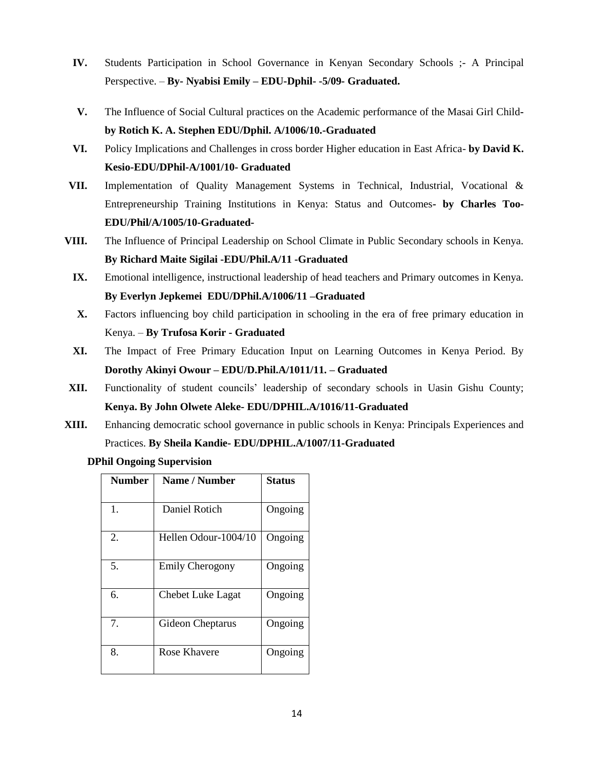- **IV.** Students Participation in School Governance in Kenyan Secondary Schools ;- A Principal Perspective. – **By- Nyabisi Emily – EDU-Dphil- -5/09- Graduated.**
- **V.** The Influence of Social Cultural practices on the Academic performance of the Masai Girl Child**by Rotich K. A. Stephen EDU/Dphil. A/1006/10.-Graduated**
- **VI.** Policy Implications and Challenges in cross border Higher education in East Africa- **by David K. Kesio-EDU/DPhil-A/1001/10- Graduated**
- **VII.** Implementation of Quality Management Systems in Technical, Industrial, Vocational & Entrepreneurship Training Institutions in Kenya: Status and Outcomes**- by Charles Too-EDU/Phil/A/1005/10-Graduated-**
- **VIII.** The Influence of Principal Leadership on School Climate in Public Secondary schools in Kenya. **By Richard Maite Sigilai -EDU/Phil.A/11 -Graduated**
	- **IX.** Emotional intelligence, instructional leadership of head teachers and Primary outcomes in Kenya. **By Everlyn Jepkemei EDU/DPhil.A/1006/11 –Graduated**
	- **X.** Factors influencing boy child participation in schooling in the era of free primary education in Kenya. – **By Trufosa Korir - Graduated**
	- **XI.** The Impact of Free Primary Education Input on Learning Outcomes in Kenya Period. By **Dorothy Akinyi Owour – EDU/D.Phil.A/1011/11. – Graduated**
- **XII.** Functionality of student councils' leadership of secondary schools in Uasin Gishu County; **Kenya. By John Olwete Aleke- EDU/DPHIL.A/1016/11-Graduated**
- **XIII.** Enhancing democratic school governance in public schools in Kenya: Principals Experiences and Practices. **By Sheila Kandie- EDU/DPHIL.A/1007/11-Graduated**

**DPhil Ongoing Supervision**

| <b>Number</b> | Name / Number            | <b>Status</b> |
|---------------|--------------------------|---------------|
|               |                          |               |
| 1.            | Daniel Rotich            | Ongoing       |
| 2.            | Hellen Odour-1004/10     | Ongoing       |
| 5.            | <b>Emily Cherogony</b>   | Ongoing       |
| 6.            | <b>Chebet Luke Lagat</b> | Ongoing       |
| 7.            | Gideon Cheptarus         | Ongoing       |
| 8.            | Rose Khavere             | Ongoing       |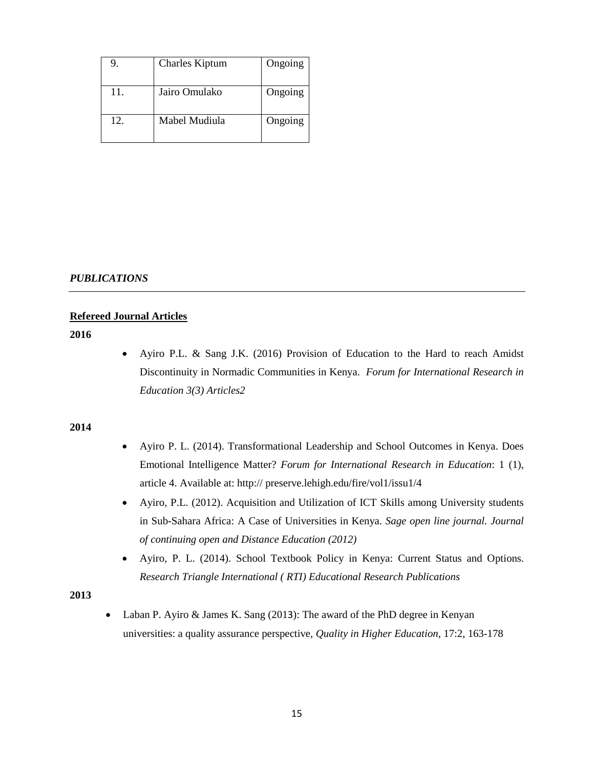| 9.  | <b>Charles Kiptum</b> | Ongoing |
|-----|-----------------------|---------|
| 11. | Jairo Omulako         | Ongoing |
| 12. | Mabel Mudiula         | Ongoing |

### *PUBLICATIONS*

## **Refereed Journal Articles**

**2016**

 Ayiro P.L. & Sang J.K. (2016) Provision of Education to the Hard to reach Amidst Discontinuity in Normadic Communities in Kenya. *Forum for International Research in Education 3(3) Articles2*

#### **2014**

- Ayiro P. L. (2014). Transformational Leadership and School Outcomes in Kenya. Does Emotional Intelligence Matter? *Forum for International Research in Education*: 1 (1), article 4. Available at: http:// preserve.lehigh.edu/fire/vol1/issu1/4
- Ayiro, P.L. (2012). Acquisition and Utilization of ICT Skills among University students in Sub-Sahara Africa: A Case of Universities in Kenya. *Sage open line journal. Journal of continuing open and Distance Education (2012)*
- Ayiro, P. L. (2014). School Textbook Policy in Kenya: Current Status and Options. *Research Triangle International ( RTI) Educational Research Publications*

### **2013**

 Laban P. Ayiro & James K. Sang (2013): The award of the PhD degree in Kenyan universities: a quality assurance perspective, *Quality in Higher Education*, 17:2, 163-178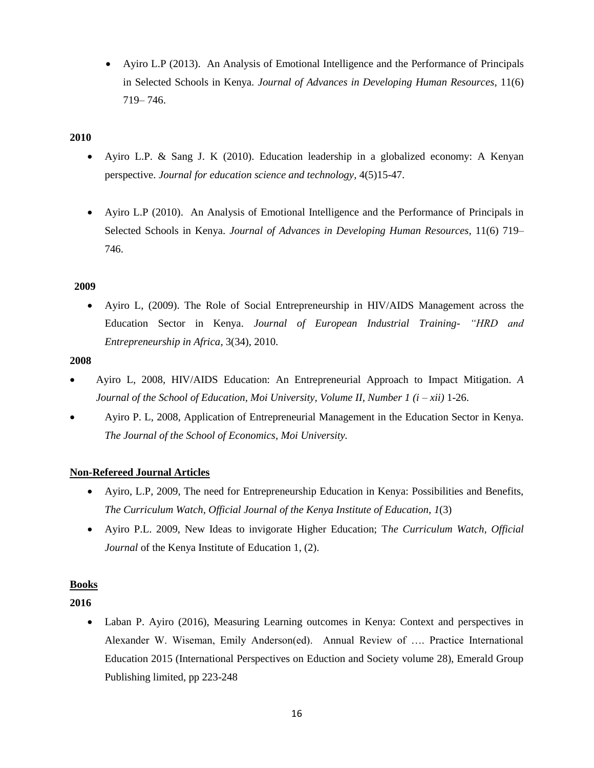Ayiro L.P (2013). An Analysis of Emotional Intelligence and the Performance of Principals in Selected Schools in Kenya. *Journal of Advances in Developing Human Resources,* 11(6) 719– 746.

## **2010**

- Ayiro L.P. & Sang J. K (2010). Education leadership in a globalized economy: A Kenyan perspective. *Journal for education science and technology,* 4(5)15-47.
- Ayiro L.P (2010). An Analysis of Emotional Intelligence and the Performance of Principals in Selected Schools in Kenya. *Journal of Advances in Developing Human Resources,* 11(6) 719– 746.

## **2009**

 Ayiro L, (2009). The Role of Social Entrepreneurship in HIV/AIDS Management across the Education Sector in Kenya. *Journal of European Industrial Training*- *"HRD and Entrepreneurship in Africa*, 3(34), 2010.

## **2008**

- Ayiro L, 2008, HIV/AIDS Education: An Entrepreneurial Approach to Impact Mitigation*. A Journal of the School of Education, Moi University, Volume II, Number 1 (i – xii)* 1-26.
- Ayiro P. L, 2008, Application of Entrepreneurial Management in the Education Sector in Kenya. *The Journal of the School of Economics, Moi University.*

## **Non-Refereed Journal Articles**

- Ayiro, L.P, 2009, The need for Entrepreneurship Education in Kenya: Possibilities and Benefits, *The Curriculum Watch, Official Journal of the Kenya Institute of Education, 1*(3)
- Ayiro P.L. 2009, New Ideas to invigorate Higher Education; T*he Curriculum Watch, Official Journal* of the Kenya Institute of Education 1, (2).

## **Books**

**2016**

 Laban P. Ayiro (2016), Measuring Learning outcomes in Kenya: Context and perspectives in Alexander W. Wiseman, Emily Anderson(ed). Annual Review of …. Practice International Education 2015 (International Perspectives on Eduction and Society volume 28), Emerald Group Publishing limited, pp 223-248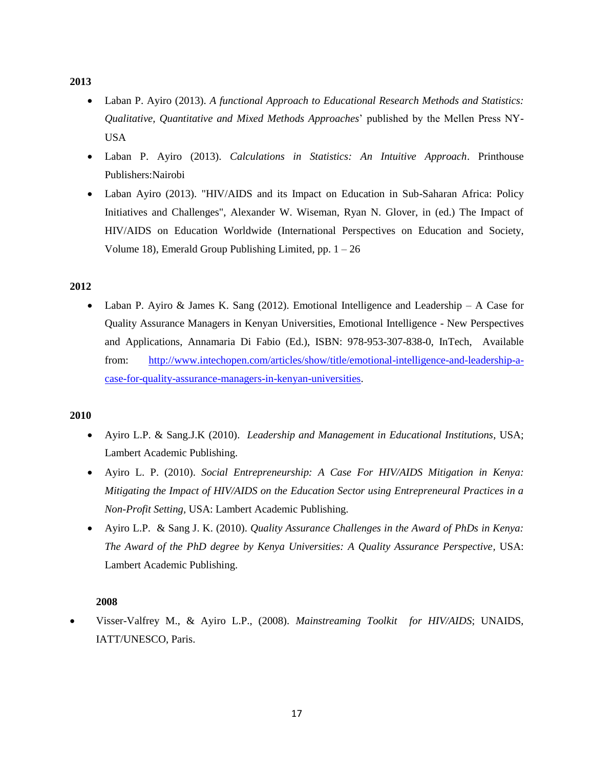### **2013**

- Laban P. Ayiro (2013). *A functional Approach to Educational Research Methods and Statistics: Qualitative, Quantitative and Mixed Methods Approaches*' published by the Mellen Press NY-USA
- Laban P. Ayiro (2013). *Calculations in Statistics: An Intuitive Approach*. Printhouse Publishers:Nairobi
- Laban Ayiro (2013). "HIV/AIDS and its Impact on Education in Sub-Saharan Africa: Policy Initiatives and Challenges", Alexander W. Wiseman, Ryan N. Glover, in (ed.) The Impact of HIV/AIDS on Education Worldwide (International Perspectives on Education and Society, Volume 18), Emerald Group Publishing Limited, pp.  $1 - 26$

## **2012**

Laban P. Ayiro & James K. Sang  $(2012)$ . Emotional Intelligence and Leadership – A Case for Quality Assurance Managers in Kenyan Universities, Emotional Intelligence - New Perspectives and Applications, Annamaria Di Fabio (Ed.), ISBN: 978-953-307-838-0, InTech, Available from: [http://www.intechopen.com/articles/show/title/emotional-intelligence-and-leadership-a](http://www.intechopen.com/articles/show/title/emotional-intelligence-and-leadership-a-case-for-quality-assurance-managers-in-kenyan-universities)[case-for-quality-assurance-managers-in-kenyan-universities.](http://www.intechopen.com/articles/show/title/emotional-intelligence-and-leadership-a-case-for-quality-assurance-managers-in-kenyan-universities)

## **2010**

- Ayiro L.P. & Sang.J.K (2010). *Leadership and Management in Educational Institutions*, USA; Lambert Academic Publishing.
- Ayiro L. P. (2010). *Social Entrepreneurship: A Case For HIV/AIDS Mitigation in Kenya: Mitigating the Impact of HIV/AIDS on the Education Sector using Entrepreneural Practices in a Non-Profit Setting,* USA: Lambert Academic Publishing.
- Ayiro L.P. & Sang J. K. (2010). *Quality Assurance Challenges in the Award of PhDs in Kenya: The Award of the PhD degree by Kenya Universities: A Quality Assurance Perspective,* USA: Lambert Academic Publishing.

## **2008**

 Visser-Valfrey M., & Ayiro L.P., (2008). *Mainstreaming Toolkit for HIV/AIDS*; UNAIDS, IATT/UNESCO, Paris.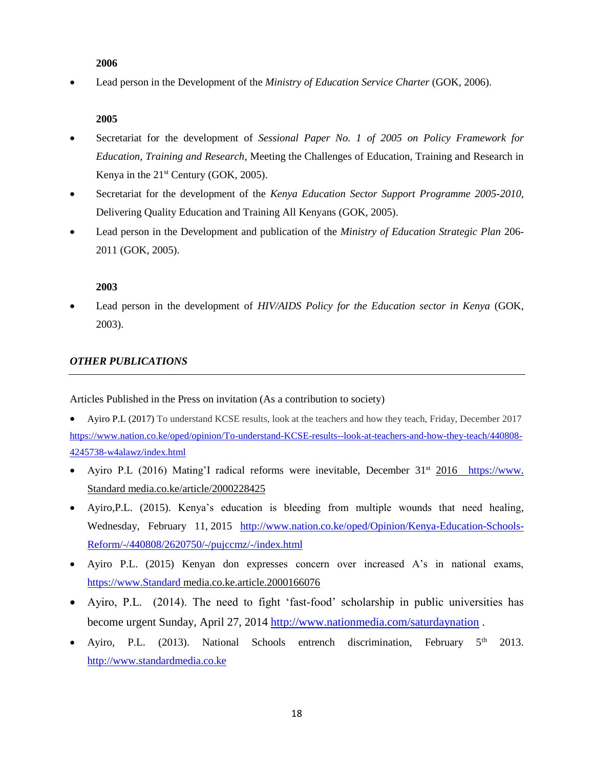## **2006**

Lead person in the Development of the *Ministry of Education Service Charter* (GOK, 2006).

## **2005**

- Secretariat for the development of *Sessional Paper No. 1 of 2005 on Policy Framework for Education, Training and Research*, Meeting the Challenges of Education, Training and Research in Kenya in the  $21<sup>st</sup>$  Century (GOK, 2005).
- Secretariat for the development of the *Kenya Education Sector Support Programme 2005-2010*, Delivering Quality Education and Training All Kenyans (GOK, 2005).
- Lead person in the Development and publication of the *Ministry of Education Strategic Plan* 206- 2011 (GOK, 2005).

## **2003**

 Lead person in the development of *HIV/AIDS Policy for the Education sector in Kenya* (GOK, 2003).

## *OTHER PUBLICATIONS*

Articles Published in the Press on invitation (As a contribution to society)

- Ayiro P.L (2017) To understand KCSE results, look at the teachers and how they teach, Friday, December 2017 [https://www.nation.co.ke/oped/opinion/To-understand-KCSE-results--look-at-teachers-and-how-they-teach/440808-](https://www.nation.co.ke/oped/opinion/To-understand-KCSE-results--look-at-teachers-and-how-they-teach/440808-4245738-w4alawz/index.html) [4245738-w4alawz/index.html](https://www.nation.co.ke/oped/opinion/To-understand-KCSE-results--look-at-teachers-and-how-they-teach/440808-4245738-w4alawz/index.html)
- Ayiro P.L (2016) Mating'I radical reforms were inevitable, December  $31<sup>st</sup> 2016$  [https://www.](https://www/) Standard media.co.ke/article/2000228425
- Ayiro,P.L. (2015). Kenya's education is bleeding from multiple wounds that need healing, Wednesday, February 11, 2015 [http://www.nation.co.ke/oped/Opinion/Kenya-Education-Schools-](http://www.nation.co.ke/oped/Opinion/Kenya-Education-Schools-Reform/-/440808/2620750/-/pujccmz/-/index.html)[Reform/-/440808/2620750/-/pujccmz/-/index.html](http://www.nation.co.ke/oped/Opinion/Kenya-Education-Schools-Reform/-/440808/2620750/-/pujccmz/-/index.html)
- Ayiro P.L. (2015) Kenyan don expresses concern over increased A's in national exams, [https://www.Standard](https://www.standard/) media.co.ke.article.2000166076
- Ayiro, P.L. (2014). The need to fight 'fast-food' scholarship in public universities has become urgent Sunday, April 27, 2014 <http://www.nationmedia.com/saturdaynation>.
- Ayiro, P.L. (2013). National Schools entrench discrimination, February 5<sup>th</sup> 2013. [http://www.standardmedia.co.ke](http://www.standardmedia.co.ke/)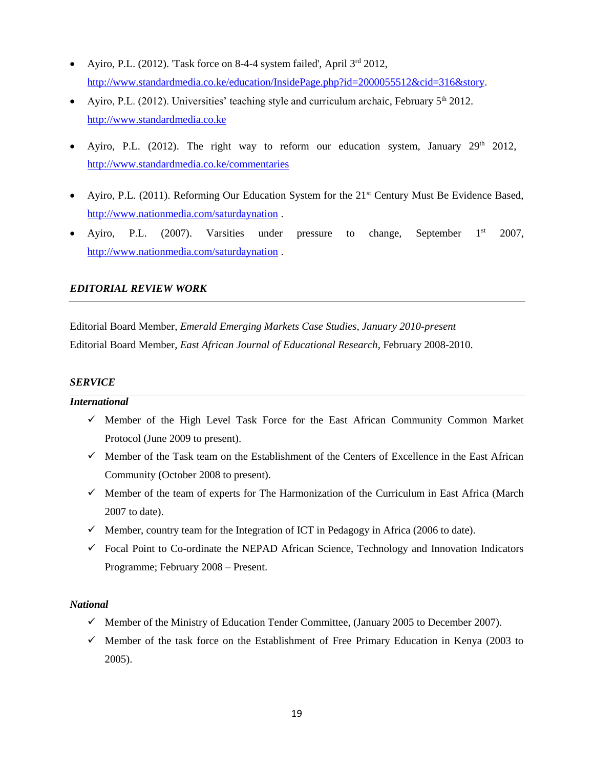- Ayiro, P.L. (2012). Task force on 8-4-4 system failed', April  $3<sup>rd</sup>$  2012, [http://www.standardmedia.co.ke/education/InsidePage.php?id=2000055512&cid=316&story.](http://www.standardmedia.co.ke/education/InsidePage.php?id=2000055512&cid=316&story)
- Ayiro, P.L. (2012). Universities' teaching style and curriculum archaic, February  $5<sup>th</sup>$  2012. [http://www.standardmedia.co.ke](http://www.standardmedia.co.ke/)
- $\bullet$  Ayiro, P.L. (2012). The right way to reform our education system, January 29<sup>th</sup> 2012, <http://www.standardmedia.co.ke/commentaries>
- Ayiro, P.L. (2011). Reforming Our Education System for the 21<sup>st</sup> Century Must Be Evidence Based, <http://www.nationmedia.com/saturdaynation> .
- Ayiro, P.L. (2007). Varsities under pressure to change, September  $1<sup>st</sup>$  2007, <http://www.nationmedia.com/saturdaynation> .

## *EDITORIAL REVIEW WORK*

Editorial Board Member, *Emerald Emerging Markets Case Studies, January 2010-present* Editorial Board Member, *East African Journal of Educational Research*, February 2008-2010.

## *SERVICE*

### *International*

- $\checkmark$  Member of the High Level Task Force for the East African Community Common Market Protocol (June 2009 to present).
- $\checkmark$  Member of the Task team on the Establishment of the Centers of Excellence in the East African Community (October 2008 to present).
- $\checkmark$  Member of the team of experts for The Harmonization of the Curriculum in East Africa (March 2007 to date).
- $\checkmark$  Member, country team for the Integration of ICT in Pedagogy in Africa (2006 to date).
- $\checkmark$  Focal Point to Co-ordinate the NEPAD African Science, Technology and Innovation Indicators Programme; February 2008 – Present.

## *National*

- $\checkmark$  Member of the Ministry of Education Tender Committee, (January 2005 to December 2007).
- $\checkmark$  Member of the task force on the Establishment of Free Primary Education in Kenya (2003 to 2005).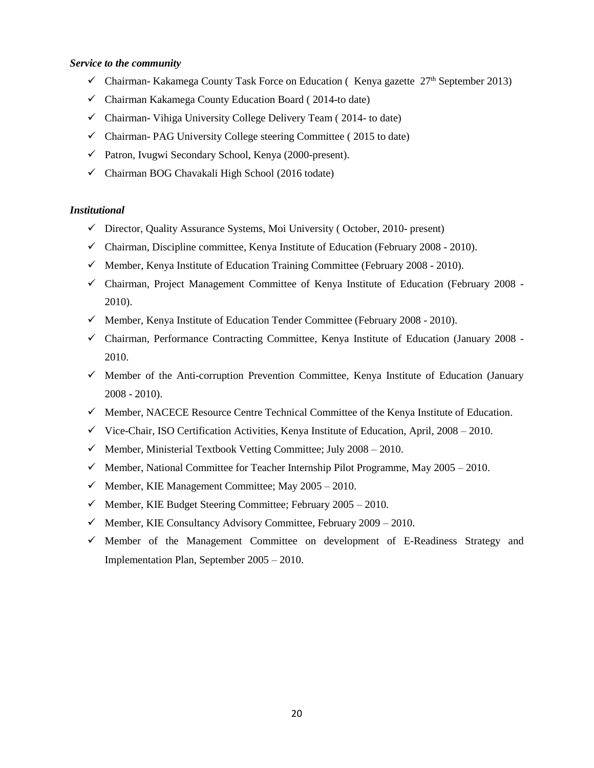### *Service to the community*

- $\checkmark$  Chairman- Kakamega County Task Force on Education (Kenya gazette 27<sup>th</sup> September 2013)
- $\checkmark$  Chairman Kakamega County Education Board (2014-to date)
- $\checkmark$  Chairman- Vihiga University College Delivery Team (2014- to date)
- $\checkmark$  Chairman- PAG University College steering Committee (2015 to date)
- Patron, Ivugwi Secondary School, Kenya (2000-present).
- $\checkmark$  Chairman BOG Chavakali High School (2016 todate)

## *Institutional*

- $\checkmark$  Director, Quality Assurance Systems, Moi University (October, 2010- present)
- $\checkmark$  Chairman, Discipline committee, Kenya Institute of Education (February 2008 2010).
- $\checkmark$  Member, Kenya Institute of Education Training Committee (February 2008 2010).
- $\checkmark$  Chairman, Project Management Committee of Kenya Institute of Education (February 2008 -2010).
- $\checkmark$  Member, Kenya Institute of Education Tender Committee (February 2008 2010).
- $\checkmark$  Chairman, Performance Contracting Committee, Kenya Institute of Education (January 2008 -2010.
- $\checkmark$  Member of the Anti-corruption Prevention Committee, Kenya Institute of Education (January 2008 - 2010).
- $\checkmark$  Member, NACECE Resource Centre Technical Committee of the Kenya Institute of Education.
- $\checkmark$  Vice-Chair, ISO Certification Activities, Kenya Institute of Education, April, 2008 2010.
- $\checkmark$  Member, Ministerial Textbook Vetting Committee; July 2008 2010.
- $\checkmark$  Member, National Committee for Teacher Internship Pilot Programme, May 2005 2010.
- $\checkmark$  Member, KIE Management Committee; May 2005 2010.
- $\checkmark$  Member, KIE Budget Steering Committee; February 2005 2010.
- $\checkmark$  Member, KIE Consultancy Advisory Committee, February 2009 2010.
- $\checkmark$  Member of the Management Committee on development of E-Readiness Strategy and Implementation Plan, September 2005 – 2010.